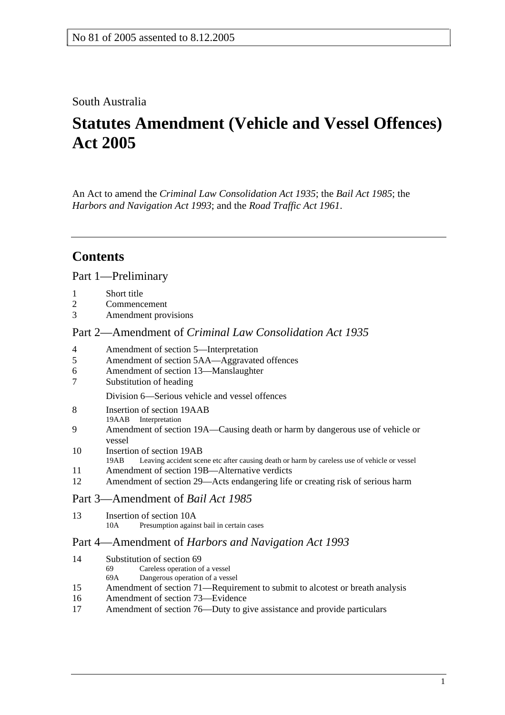## South Australia

# **Statutes Amendment (Vehicle and Vessel Offences) Act 2005**

An Act to amend the *Criminal Law Consolidation Act 1935*; the *Bail Act 1985*; the *Harbors and Navigation Act 1993*; and the *Road Traffic Act 1961*.

## **Contents**

## Part 1—Preliminary

- 1 Short title
- 2 Commencement
- 3 Amendment provisions

#### Part 2—Amendment of *Criminal Law Consolidation Act 1935*

- 4 Amendment of section 5—Interpretation
- 5 Amendment of section 5AA—Aggravated offences
- 6 Amendment of section 13—Manslaughter
- 7 Substitution of heading

Division 6—Serious vehicle and vessel offences

- 8 Insertion of section 19AAB
- 19AAB Interpretation
- 9 Amendment of section 19A—Causing death or harm by dangerous use of vehicle or vessel
- 10 Insertion of section 19AB<br>19AB Leaving accident sce
- Leaving accident scene etc after causing death or harm by careless use of vehicle or vessel
- 11 Amendment of section 19B—Alternative verdicts
- 12 Amendment of section 29—Acts endangering life or creating risk of serious harm

### Part 3—Amendment of *Bail Act 1985*

13 Insertion of section 10A 10A Presumption against bail in certain cases

### Part 4—Amendment of *Harbors and Navigation Act 1993*

| 14 | Substitution of section 69 |  |
|----|----------------------------|--|
|    |                            |  |

- 69 Careless operation of a vessel
- 69A Dangerous operation of a vessel
- 15 Amendment of section 71—Requirement to submit to alcotest or breath analysis
- 16 Amendment of section 73—Evidence
- 17 Amendment of section 76—Duty to give assistance and provide particulars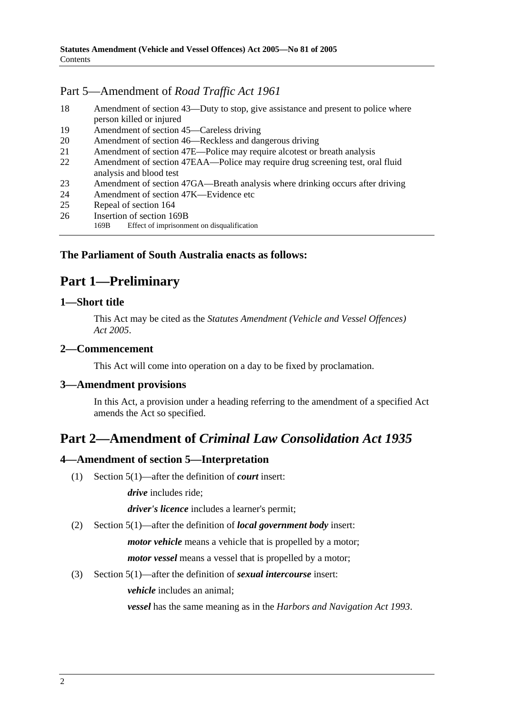## Part 5—Amendment of *Road Traffic Act 1961*

- 18 Amendment of section 43—Duty to stop, give assistance and present to police where person killed or injured
- 19 Amendment of section 45—Careless driving
- 20 Amendment of section 46—Reckless and dangerous driving
- 21 Amendment of section 47E—Police may require alcotest or breath analysis
- 22 Amendment of section 47EAA—Police may require drug screening test, oral fluid analysis and blood test
- 23 Amendment of section 47GA—Breath analysis where drinking occurs after driving
- 24 Amendment of section 47K—Evidence etc
- 25 Repeal of section 164
- 26 Insertion of section 169B
	- 169B Effect of imprisonment on disqualification

## **The Parliament of South Australia enacts as follows:**

## **Part 1—Preliminary**

#### **1—Short title**

This Act may be cited as the *Statutes Amendment (Vehicle and Vessel Offences) Act 2005*.

### **2—Commencement**

This Act will come into operation on a day to be fixed by proclamation.

### **3—Amendment provisions**

In this Act, a provision under a heading referring to the amendment of a specified Act amends the Act so specified.

## **Part 2—Amendment of** *Criminal Law Consolidation Act 1935*

### **4—Amendment of section 5—Interpretation**

(1) Section 5(1)—after the definition of *court* insert:

*drive* includes ride;

*driver's licence* includes a learner's permit;

(2) Section 5(1)—after the definition of *local government body* insert:

*motor vehicle* means a vehicle that is propelled by a motor;

*motor vessel* means a vessel that is propelled by a motor;

### (3) Section 5(1)—after the definition of *sexual intercourse* insert:

*vehicle* includes an animal;

*vessel* has the same meaning as in the *Harbors and Navigation Act 1993*.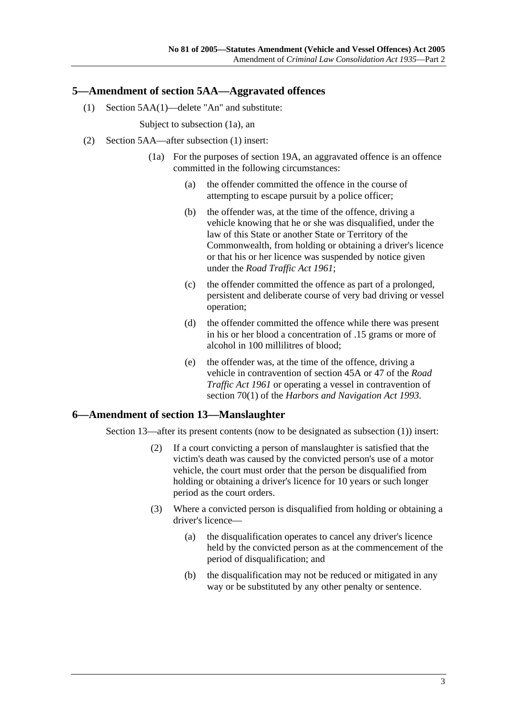#### **5—Amendment of section 5AA—Aggravated offences**

(1) Section 5AA(1)—delete "An" and substitute:

Subject to subsection (1a), an

- (2) Section 5AA—after subsection (1) insert:
	- (1a) For the purposes of section 19A, an aggravated offence is an offence committed in the following circumstances:
		- (a) the offender committed the offence in the course of attempting to escape pursuit by a police officer;
		- (b) the offender was, at the time of the offence, driving a vehicle knowing that he or she was disqualified, under the law of this State or another State or Territory of the Commonwealth, from holding or obtaining a driver's licence or that his or her licence was suspended by notice given under the *Road Traffic Act 1961*;
		- (c) the offender committed the offence as part of a prolonged, persistent and deliberate course of very bad driving or vessel operation;
		- (d) the offender committed the offence while there was present in his or her blood a concentration of .15 grams or more of alcohol in 100 millilitres of blood;
		- (e) the offender was, at the time of the offence, driving a vehicle in contravention of section 45A or 47 of the *Road Traffic Act 1961* or operating a vessel in contravention of section 70(1) of the *Harbors and Navigation Act 1993*.

#### **6—Amendment of section 13—Manslaughter**

Section 13—after its present contents (now to be designated as subsection (1)) insert:

- (2) If a court convicting a person of manslaughter is satisfied that the victim's death was caused by the convicted person's use of a motor vehicle, the court must order that the person be disqualified from holding or obtaining a driver's licence for 10 years or such longer period as the court orders.
- (3) Where a convicted person is disqualified from holding or obtaining a driver's licence—
	- (a) the disqualification operates to cancel any driver's licence held by the convicted person as at the commencement of the period of disqualification; and
	- (b) the disqualification may not be reduced or mitigated in any way or be substituted by any other penalty or sentence.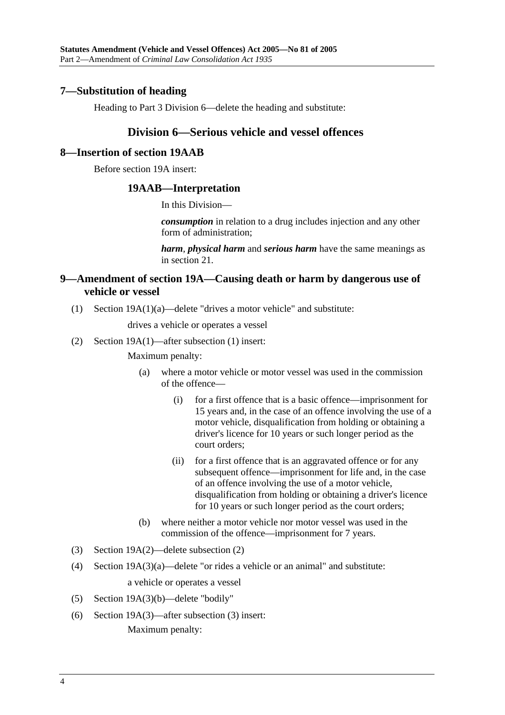#### **7—Substitution of heading**

Heading to Part 3 Division 6—delete the heading and substitute:

### **Division 6—Serious vehicle and vessel offences**

#### **8—Insertion of section 19AAB**

Before section 19A insert:

#### **19AAB—Interpretation**

In this Division—

*consumption* in relation to a drug includes injection and any other form of administration;

*harm*, *physical harm* and *serious harm* have the same meanings as in section 21.

### **9—Amendment of section 19A—Causing death or harm by dangerous use of vehicle or vessel**

(1) Section 19A(1)(a)—delete "drives a motor vehicle" and substitute:

drives a vehicle or operates a vessel

(2) Section 19A(1)—after subsection (1) insert:

Maximum penalty:

- (a) where a motor vehicle or motor vessel was used in the commission of the offence—
	- (i) for a first offence that is a basic offence—imprisonment for 15 years and, in the case of an offence involving the use of a motor vehicle, disqualification from holding or obtaining a driver's licence for 10 years or such longer period as the court orders;
	- (ii) for a first offence that is an aggravated offence or for any subsequent offence—imprisonment for life and, in the case of an offence involving the use of a motor vehicle, disqualification from holding or obtaining a driver's licence for 10 years or such longer period as the court orders;
- (b) where neither a motor vehicle nor motor vessel was used in the commission of the offence—imprisonment for 7 years.
- (3) Section 19A(2)—delete subsection (2)
- (4) Section 19A(3)(a)—delete "or rides a vehicle or an animal" and substitute: a vehicle or operates a vessel
- (5) Section 19A(3)(b)—delete "bodily"
- (6) Section 19A(3)—after subsection (3) insert: Maximum penalty: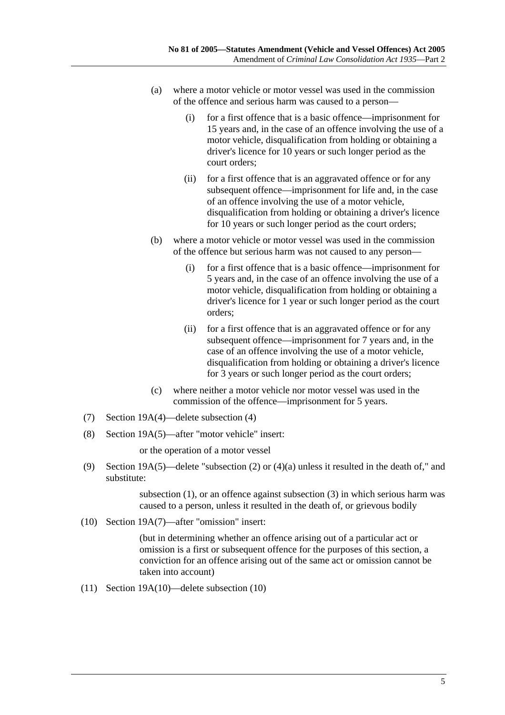- (a) where a motor vehicle or motor vessel was used in the commission of the offence and serious harm was caused to a person—
	- (i) for a first offence that is a basic offence—imprisonment for 15 years and, in the case of an offence involving the use of a motor vehicle, disqualification from holding or obtaining a driver's licence for 10 years or such longer period as the court orders;
	- (ii) for a first offence that is an aggravated offence or for any subsequent offence—imprisonment for life and, in the case of an offence involving the use of a motor vehicle, disqualification from holding or obtaining a driver's licence for 10 years or such longer period as the court orders;
- (b) where a motor vehicle or motor vessel was used in the commission of the offence but serious harm was not caused to any person—
	- (i) for a first offence that is a basic offence—imprisonment for 5 years and, in the case of an offence involving the use of a motor vehicle, disqualification from holding or obtaining a driver's licence for 1 year or such longer period as the court orders;
	- (ii) for a first offence that is an aggravated offence or for any subsequent offence—imprisonment for 7 years and, in the case of an offence involving the use of a motor vehicle, disqualification from holding or obtaining a driver's licence for 3 years or such longer period as the court orders;
- (c) where neither a motor vehicle nor motor vessel was used in the commission of the offence—imprisonment for 5 years.
- (7) Section 19A(4)—delete subsection (4)
- (8) Section 19A(5)—after "motor vehicle" insert:

or the operation of a motor vessel

 (9) Section 19A(5)—delete "subsection (2) or (4)(a) unless it resulted in the death of," and substitute:

> subsection (1), or an offence against subsection (3) in which serious harm was caused to a person, unless it resulted in the death of, or grievous bodily

(10) Section 19A(7)—after "omission" insert:

(but in determining whether an offence arising out of a particular act or omission is a first or subsequent offence for the purposes of this section, a conviction for an offence arising out of the same act or omission cannot be taken into account)

(11) Section 19A(10)—delete subsection (10)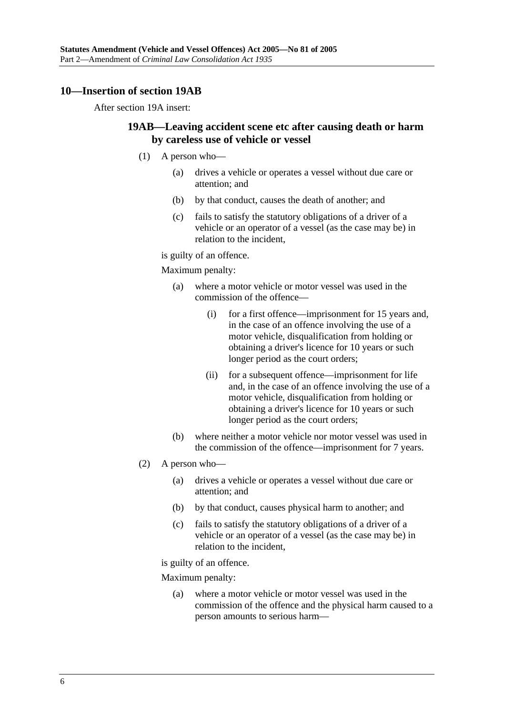#### **10—Insertion of section 19AB**

After section 19A insert:

### **19AB—Leaving accident scene etc after causing death or harm by careless use of vehicle or vessel**

- (1) A person who—
	- (a) drives a vehicle or operates a vessel without due care or attention; and
	- (b) by that conduct, causes the death of another; and
	- (c) fails to satisfy the statutory obligations of a driver of a vehicle or an operator of a vessel (as the case may be) in relation to the incident,

is guilty of an offence.

Maximum penalty:

- (a) where a motor vehicle or motor vessel was used in the commission of the offence—
	- (i) for a first offence—imprisonment for 15 years and, in the case of an offence involving the use of a motor vehicle, disqualification from holding or obtaining a driver's licence for 10 years or such longer period as the court orders;
	- (ii) for a subsequent offence—imprisonment for life and, in the case of an offence involving the use of a motor vehicle, disqualification from holding or obtaining a driver's licence for 10 years or such longer period as the court orders;
- (b) where neither a motor vehicle nor motor vessel was used in the commission of the offence—imprisonment for 7 years.
- (2) A person who—
	- (a) drives a vehicle or operates a vessel without due care or attention; and
	- (b) by that conduct, causes physical harm to another; and
	- (c) fails to satisfy the statutory obligations of a driver of a vehicle or an operator of a vessel (as the case may be) in relation to the incident,

is guilty of an offence.

Maximum penalty:

 (a) where a motor vehicle or motor vessel was used in the commission of the offence and the physical harm caused to a person amounts to serious harm—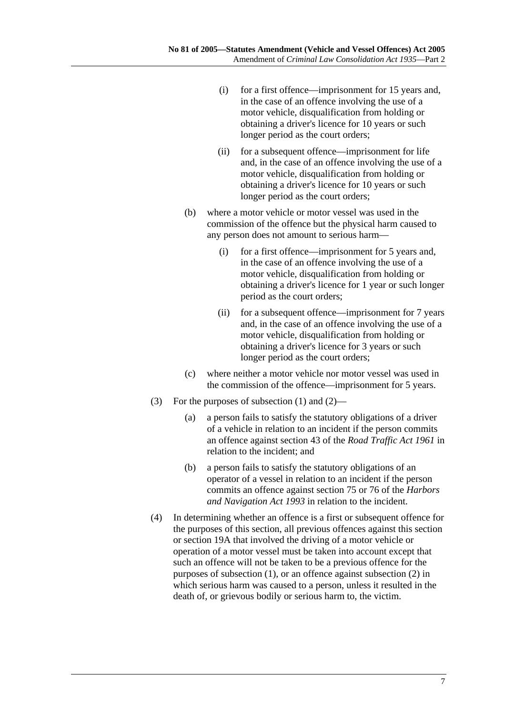- (i) for a first offence—imprisonment for 15 years and, in the case of an offence involving the use of a motor vehicle, disqualification from holding or obtaining a driver's licence for 10 years or such longer period as the court orders;
- (ii) for a subsequent offence—imprisonment for life and, in the case of an offence involving the use of a motor vehicle, disqualification from holding or obtaining a driver's licence for 10 years or such longer period as the court orders;
- (b) where a motor vehicle or motor vessel was used in the commission of the offence but the physical harm caused to any person does not amount to serious harm—
	- (i) for a first offence—imprisonment for 5 years and, in the case of an offence involving the use of a motor vehicle, disqualification from holding or obtaining a driver's licence for 1 year or such longer period as the court orders;
	- (ii) for a subsequent offence—imprisonment for 7 years and, in the case of an offence involving the use of a motor vehicle, disqualification from holding or obtaining a driver's licence for 3 years or such longer period as the court orders;
- (c) where neither a motor vehicle nor motor vessel was used in the commission of the offence—imprisonment for 5 years.
- (3) For the purposes of subsection (1) and (2)—
	- (a) a person fails to satisfy the statutory obligations of a driver of a vehicle in relation to an incident if the person commits an offence against section 43 of the *Road Traffic Act 1961* in relation to the incident; and
	- (b) a person fails to satisfy the statutory obligations of an operator of a vessel in relation to an incident if the person commits an offence against section 75 or 76 of the *Harbors and Navigation Act 1993* in relation to the incident.
- (4) In determining whether an offence is a first or subsequent offence for the purposes of this section, all previous offences against this section or section 19A that involved the driving of a motor vehicle or operation of a motor vessel must be taken into account except that such an offence will not be taken to be a previous offence for the purposes of subsection (1), or an offence against subsection (2) in which serious harm was caused to a person, unless it resulted in the death of, or grievous bodily or serious harm to, the victim.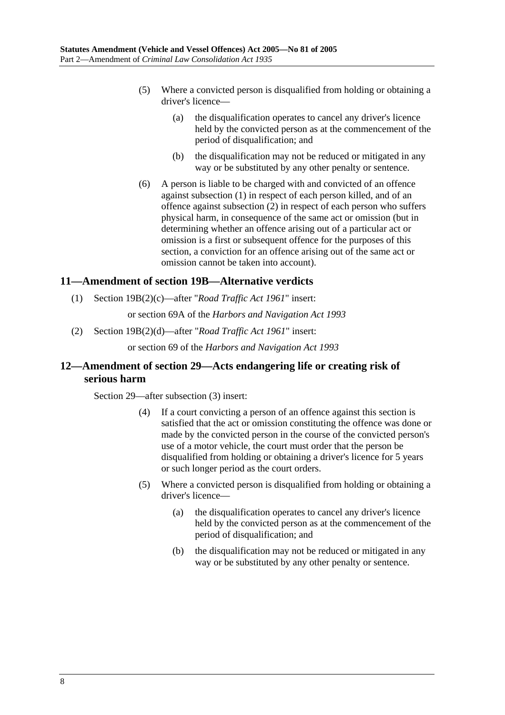- (5) Where a convicted person is disqualified from holding or obtaining a driver's licence—
	- (a) the disqualification operates to cancel any driver's licence held by the convicted person as at the commencement of the period of disqualification; and
	- (b) the disqualification may not be reduced or mitigated in any way or be substituted by any other penalty or sentence.
- (6) A person is liable to be charged with and convicted of an offence against subsection (1) in respect of each person killed, and of an offence against subsection (2) in respect of each person who suffers physical harm, in consequence of the same act or omission (but in determining whether an offence arising out of a particular act or omission is a first or subsequent offence for the purposes of this section, a conviction for an offence arising out of the same act or omission cannot be taken into account).

### **11—Amendment of section 19B—Alternative verdicts**

(1) Section 19B(2)(c)—after "*Road Traffic Act 1961*" insert:

or section 69A of the *Harbors and Navigation Act 1993*

(2) Section 19B(2)(d)—after "*Road Traffic Act 1961*" insert:

or section 69 of the *Harbors and Navigation Act 1993*

## **12—Amendment of section 29—Acts endangering life or creating risk of serious harm**

Section 29—after subsection (3) insert:

- (4) If a court convicting a person of an offence against this section is satisfied that the act or omission constituting the offence was done or made by the convicted person in the course of the convicted person's use of a motor vehicle, the court must order that the person be disqualified from holding or obtaining a driver's licence for 5 years or such longer period as the court orders.
- (5) Where a convicted person is disqualified from holding or obtaining a driver's licence—
	- (a) the disqualification operates to cancel any driver's licence held by the convicted person as at the commencement of the period of disqualification; and
	- (b) the disqualification may not be reduced or mitigated in any way or be substituted by any other penalty or sentence.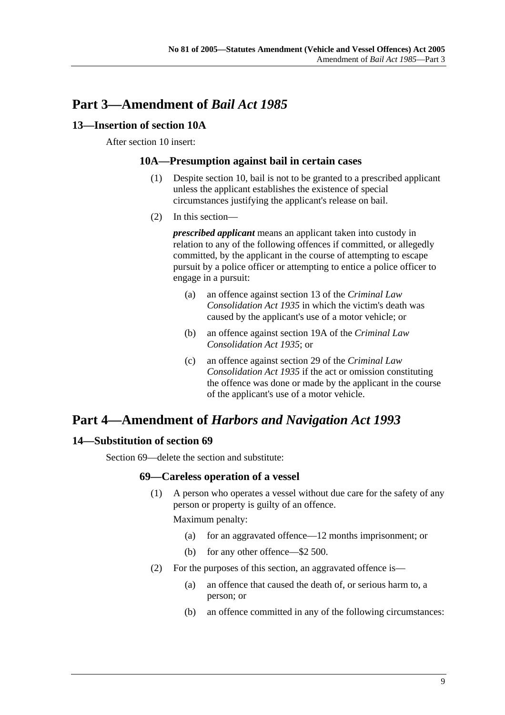## **Part 3—Amendment of** *Bail Act 1985*

### **13—Insertion of section 10A**

#### After section 10 insert:

#### **10A—Presumption against bail in certain cases**

- (1) Despite section 10, bail is not to be granted to a prescribed applicant unless the applicant establishes the existence of special circumstances justifying the applicant's release on bail.
- (2) In this section—

*prescribed applicant* means an applicant taken into custody in relation to any of the following offences if committed, or allegedly committed, by the applicant in the course of attempting to escape pursuit by a police officer or attempting to entice a police officer to engage in a pursuit:

- (a) an offence against section 13 of the *Criminal Law Consolidation Act 1935* in which the victim's death was caused by the applicant's use of a motor vehicle; or
- (b) an offence against section 19A of the *Criminal Law Consolidation Act 1935*; or
- (c) an offence against section 29 of the *Criminal Law Consolidation Act 1935* if the act or omission constituting the offence was done or made by the applicant in the course of the applicant's use of a motor vehicle.

## **Part 4—Amendment of** *Harbors and Navigation Act 1993*

## **14—Substitution of section 69**

Section 69—delete the section and substitute:

### **69—Careless operation of a vessel**

 (1) A person who operates a vessel without due care for the safety of any person or property is guilty of an offence.

Maximum penalty:

- (a) for an aggravated offence—12 months imprisonment; or
- (b) for any other offence—\$2 500.
- (2) For the purposes of this section, an aggravated offence is—
	- (a) an offence that caused the death of, or serious harm to, a person; or
	- (b) an offence committed in any of the following circumstances: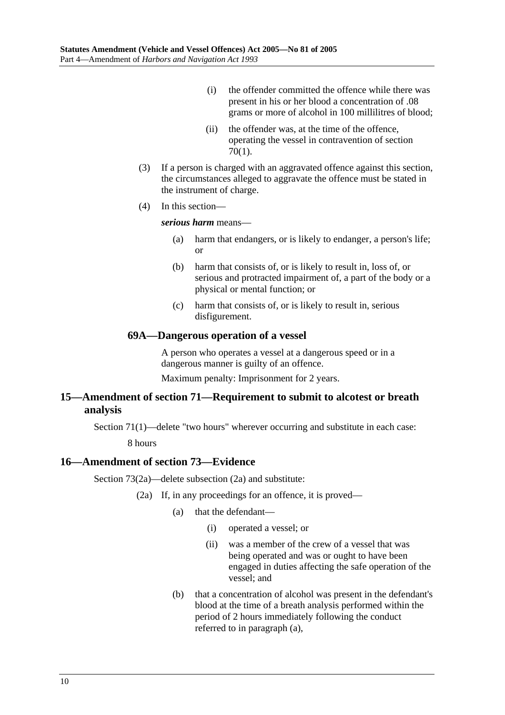- (i) the offender committed the offence while there was present in his or her blood a concentration of .08 grams or more of alcohol in 100 millilitres of blood;
- (ii) the offender was, at the time of the offence, operating the vessel in contravention of section 70(1).
- (3) If a person is charged with an aggravated offence against this section, the circumstances alleged to aggravate the offence must be stated in the instrument of charge.
- (4) In this section—

*serious harm* means—

- (a) harm that endangers, or is likely to endanger, a person's life; or
- (b) harm that consists of, or is likely to result in, loss of, or serious and protracted impairment of, a part of the body or a physical or mental function; or
- (c) harm that consists of, or is likely to result in, serious disfigurement.

#### **69A—Dangerous operation of a vessel**

A person who operates a vessel at a dangerous speed or in a dangerous manner is guilty of an offence.

Maximum penalty: Imprisonment for 2 years.

### **15—Amendment of section 71—Requirement to submit to alcotest or breath analysis**

Section 71(1)—delete "two hours" wherever occurring and substitute in each case:

8 hours

### **16—Amendment of section 73—Evidence**

Section 73(2a)—delete subsection (2a) and substitute:

- (2a) If, in any proceedings for an offence, it is proved—
	- (a) that the defendant—
		- (i) operated a vessel; or
		- (ii) was a member of the crew of a vessel that was being operated and was or ought to have been engaged in duties affecting the safe operation of the vessel; and
	- (b) that a concentration of alcohol was present in the defendant's blood at the time of a breath analysis performed within the period of 2 hours immediately following the conduct referred to in paragraph (a),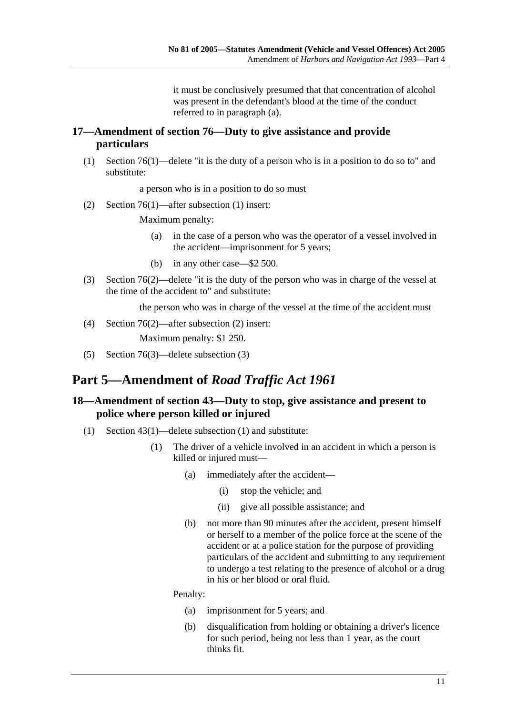it must be conclusively presumed that that concentration of alcohol was present in the defendant's blood at the time of the conduct referred to in paragraph (a).

## **17—Amendment of section 76—Duty to give assistance and provide particulars**

 (1) Section 76(1)—delete "it is the duty of a person who is in a position to do so to" and substitute:

a person who is in a position to do so must

(2) Section 76(1)—after subsection (1) insert:

Maximum penalty:

- (a) in the case of a person who was the operator of a vessel involved in the accident—imprisonment for 5 years;
- (b) in any other case—\$2 500.
- (3) Section 76(2)—delete "it is the duty of the person who was in charge of the vessel at the time of the accident to" and substitute:

the person who was in charge of the vessel at the time of the accident must

(4) Section 76(2)—after subsection (2) insert:

Maximum penalty: \$1 250.

(5) Section 76(3)—delete subsection (3)

## **Part 5—Amendment of** *Road Traffic Act 1961*

#### **18—Amendment of section 43—Duty to stop, give assistance and present to police where person killed or injured**

- (1) Section 43(1)—delete subsection (1) and substitute:
	- (1) The driver of a vehicle involved in an accident in which a person is killed or injured must—
		- (a) immediately after the accident—
			- (i) stop the vehicle; and
			- (ii) give all possible assistance; and
		- (b) not more than 90 minutes after the accident, present himself or herself to a member of the police force at the scene of the accident or at a police station for the purpose of providing particulars of the accident and submitting to any requirement to undergo a test relating to the presence of alcohol or a drug in his or her blood or oral fluid.

Penalty:

- (a) imprisonment for 5 years; and
- (b) disqualification from holding or obtaining a driver's licence for such period, being not less than 1 year, as the court thinks fit.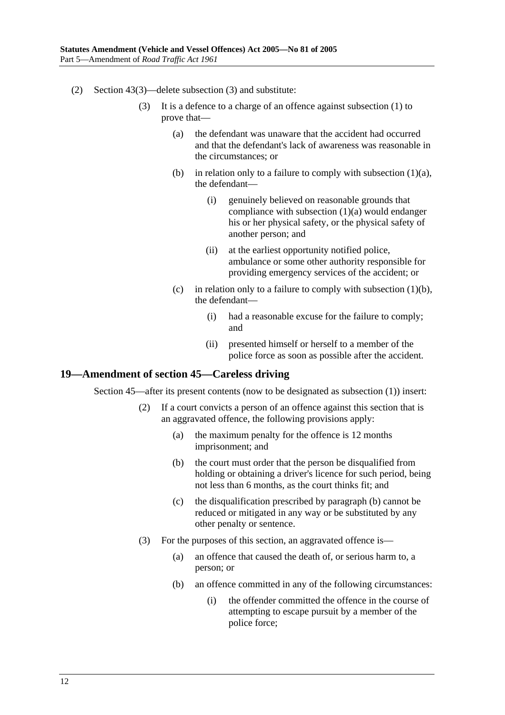- (2) Section 43(3)—delete subsection (3) and substitute:
	- (3) It is a defence to a charge of an offence against subsection (1) to prove that—
		- (a) the defendant was unaware that the accident had occurred and that the defendant's lack of awareness was reasonable in the circumstances; or
		- (b) in relation only to a failure to comply with subsection  $(1)(a)$ , the defendant—
			- (i) genuinely believed on reasonable grounds that compliance with subsection (1)(a) would endanger his or her physical safety, or the physical safety of another person; and
			- (ii) at the earliest opportunity notified police, ambulance or some other authority responsible for providing emergency services of the accident; or
		- (c) in relation only to a failure to comply with subsection  $(1)(b)$ , the defendant—
			- (i) had a reasonable excuse for the failure to comply; and
			- (ii) presented himself or herself to a member of the police force as soon as possible after the accident.

### **19—Amendment of section 45—Careless driving**

Section 45—after its present contents (now to be designated as subsection (1)) insert:

- (2) If a court convicts a person of an offence against this section that is an aggravated offence, the following provisions apply:
	- (a) the maximum penalty for the offence is 12 months imprisonment; and
	- (b) the court must order that the person be disqualified from holding or obtaining a driver's licence for such period, being not less than 6 months, as the court thinks fit; and
	- (c) the disqualification prescribed by paragraph (b) cannot be reduced or mitigated in any way or be substituted by any other penalty or sentence.
- (3) For the purposes of this section, an aggravated offence is—
	- (a) an offence that caused the death of, or serious harm to, a person; or
	- (b) an offence committed in any of the following circumstances:
		- (i) the offender committed the offence in the course of attempting to escape pursuit by a member of the police force;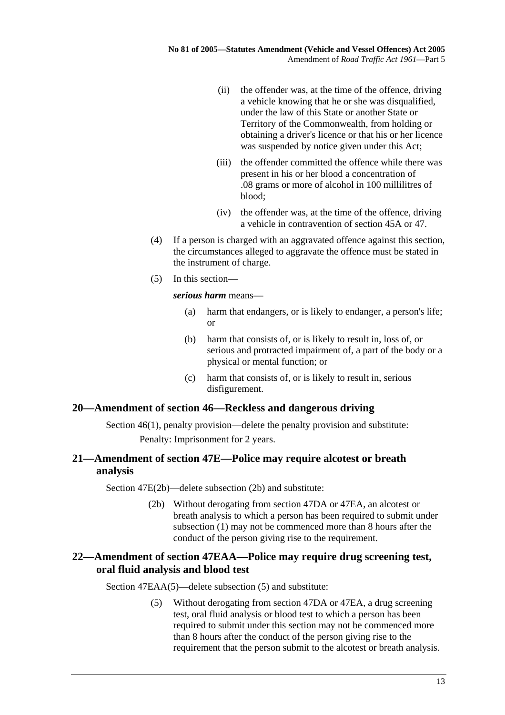- (ii) the offender was, at the time of the offence, driving a vehicle knowing that he or she was disqualified, under the law of this State or another State or Territory of the Commonwealth, from holding or obtaining a driver's licence or that his or her licence was suspended by notice given under this Act;
- (iii) the offender committed the offence while there was present in his or her blood a concentration of .08 grams or more of alcohol in 100 millilitres of blood;
- (iv) the offender was, at the time of the offence, driving a vehicle in contravention of section 45A or 47.
- (4) If a person is charged with an aggravated offence against this section, the circumstances alleged to aggravate the offence must be stated in the instrument of charge.
- (5) In this section—

*serious harm* means—

- (a) harm that endangers, or is likely to endanger, a person's life; or
- (b) harm that consists of, or is likely to result in, loss of, or serious and protracted impairment of, a part of the body or a physical or mental function; or
- (c) harm that consists of, or is likely to result in, serious disfigurement.

### **20—Amendment of section 46—Reckless and dangerous driving**

Section 46(1), penalty provision—delete the penalty provision and substitute: Penalty: Imprisonment for 2 years.

## **21—Amendment of section 47E—Police may require alcotest or breath analysis**

Section 47E(2b)—delete subsection (2b) and substitute:

 (2b) Without derogating from section 47DA or 47EA, an alcotest or breath analysis to which a person has been required to submit under subsection (1) may not be commenced more than 8 hours after the conduct of the person giving rise to the requirement.

## **22—Amendment of section 47EAA—Police may require drug screening test, oral fluid analysis and blood test**

Section 47EAA(5)—delete subsection (5) and substitute:

 (5) Without derogating from section 47DA or 47EA, a drug screening test, oral fluid analysis or blood test to which a person has been required to submit under this section may not be commenced more than 8 hours after the conduct of the person giving rise to the requirement that the person submit to the alcotest or breath analysis.